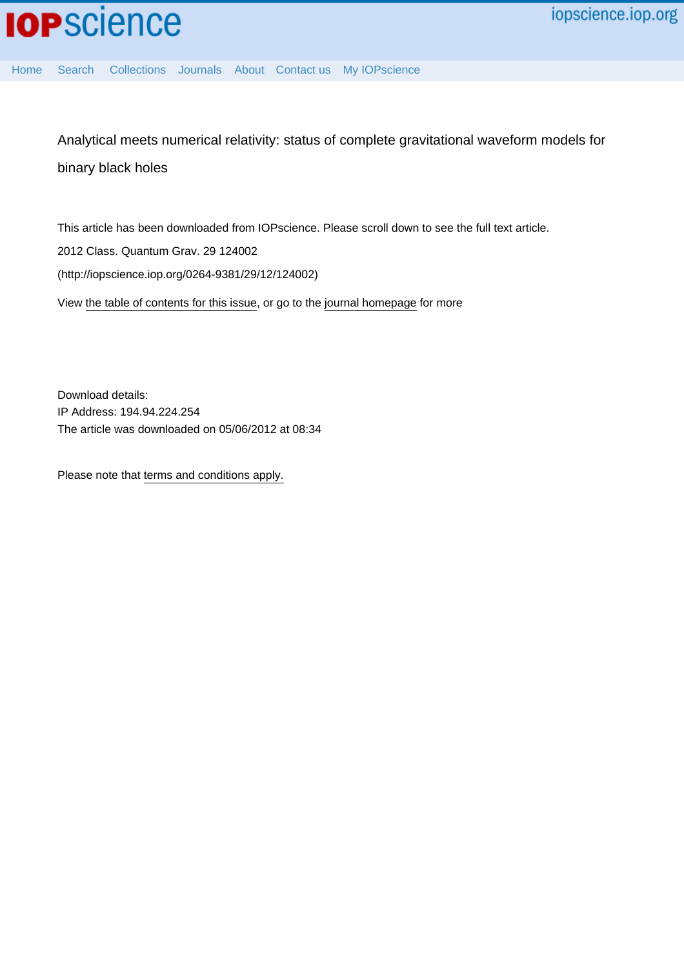

[Home](http://iopscience.iop.org/) [Search](http://iopscience.iop.org/search) [Collections](http://iopscience.iop.org/collections) [Journals](http://iopscience.iop.org/journals) [About](http://iopscience.iop.org/page/aboutioppublishing) [Contact us](http://iopscience.iop.org/contact) [My IOPscience](http://iopscience.iop.org/myiopscience)

Analytical meets numerical relativity: status of complete gravitational waveform models for binary black holes

This article has been downloaded from IOPscience. Please scroll down to see the full text article. 2012 Class. Quantum Grav. 29 124002 (http://iopscience.iop.org/0264-9381/29/12/124002) View [the table of contents for this issue](http://iopscience.iop.org/0264-9381/29/12), or go to the [journal homepage](http://iopscience.iop.org/0264-9381) for more

Download details: IP Address: 194.94.224.254 The article was downloaded on 05/06/2012 at 08:34

Please note that [terms and conditions apply.](http://iopscience.iop.org/page/terms)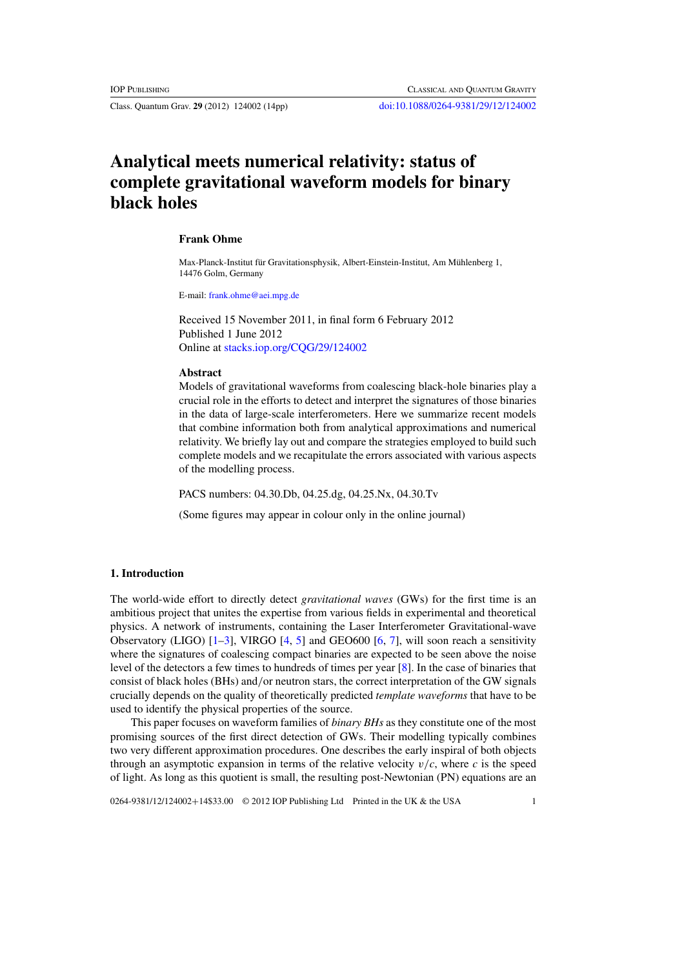# **Analytical meets numerical relativity: status of complete gravitational waveform models for binary black holes**

## **Frank Ohme**

Max-Planck-Institut für Gravitationsphysik, Albert-Einstein-Institut, Am Mühlenberg 1, 14476 Golm, Germany

E-mail: [frank.ohme@aei.mpg.de](mailto:frank.ohme@aei.mpg.de)

Received 15 November 2011, in final form 6 February 2012 Published 1 June 2012 Online at [stacks.iop.org/CQG/29/124002](http://stacks.iop.org/CQG/29/124002)

## **Abstract**

Models of gravitational waveforms from coalescing black-hole binaries play a crucial role in the efforts to detect and interpret the signatures of those binaries in the data of large-scale interferometers. Here we summarize recent models that combine information both from analytical approximations and numerical relativity. We briefly lay out and compare the strategies employed to build such complete models and we recapitulate the errors associated with various aspects of the modelling process.

PACS numbers: 04.30.Db, 04.25.dg, 04.25.Nx, 04.30.Tv

(Some figures may appear in colour only in the online journal)

## **1. Introduction**

The world-wide effort to directly detect *gravitational waves* (GWs) for the first time is an ambitious project that unites the expertise from various fields in experimental and theoretical physics. A network of instruments, containing the Laser Interferometer Gravitational-wave Observatory (LIGO)  $[1-3]$ , VIRGO  $[4, 5]$  $[4, 5]$  $[4, 5]$  $[4, 5]$  and GEO600  $[6, 7]$  $[6, 7]$  $[6, 7]$ , will soon reach a sensitivity where the signatures of coalescing compact binaries are expected to be seen above the noise level of the detectors a few times to hundreds of times per year [\[8](#page-13-0)]. In the case of binaries that consist of black holes (BHs) and*/*or neutron stars, the correct interpretation of the GW signals crucially depends on the quality of theoretically predicted *template waveforms* that have to be used to identify the physical properties of the source.

This paper focuses on waveform families of *binary BHs* as they constitute one of the most promising sources of the first direct detection of GWs. Their modelling typically combines two very different approximation procedures. One describes the early inspiral of both objects through an asymptotic expansion in terms of the relative velocity  $v/c$ , where *c* is the speed of light. As long as this quotient is small, the resulting post-Newtonian (PN) equations are an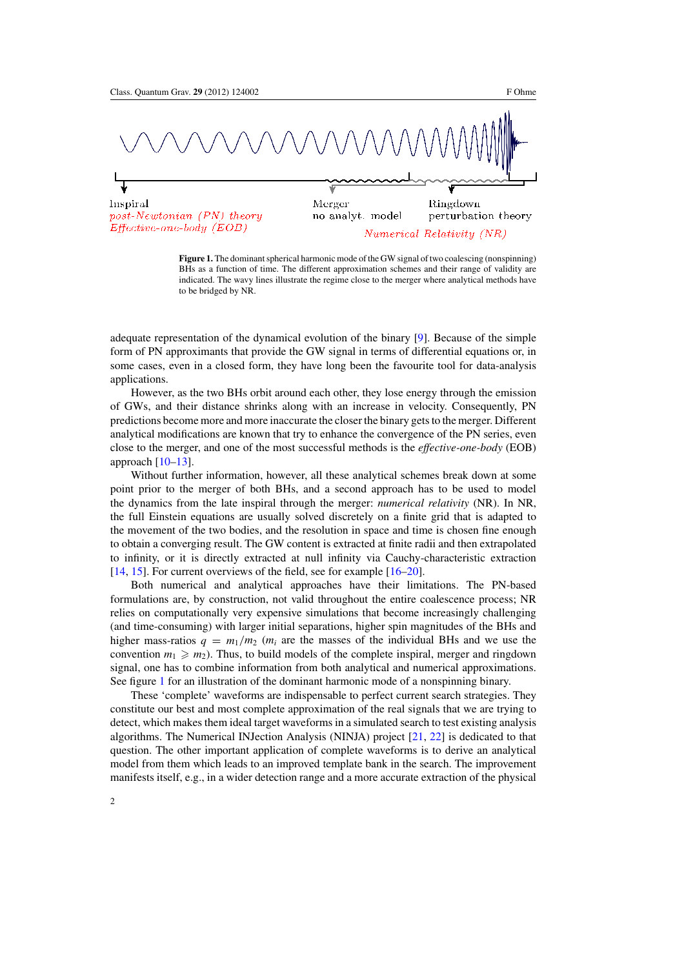

**Figure 1.** The dominant spherical harmonic mode of the GW signal of two coalescing (nonspinning) BHs as a function of time. The different approximation schemes and their range of validity are indicated. The wavy lines illustrate the regime close to the merger where analytical methods have to be bridged by NR.

adequate representation of the dynamical evolution of the binary [\[9](#page-13-0)]. Because of the simple form of PN approximants that provide the GW signal in terms of differential equations or, in some cases, even in a closed form, they have long been the favourite tool for data-analysis applications.

However, as the two BHs orbit around each other, they lose energy through the emission of GWs, and their distance shrinks along with an increase in velocity. Consequently, PN predictions become more and more inaccurate the closer the binary gets to the merger. Different analytical modifications are known that try to enhance the convergence of the PN series, even close to the merger, and one of the most successful methods is the *effective-one-body* (EOB) approach [\[10–13](#page-13-0)].

Without further information, however, all these analytical schemes break down at some point prior to the merger of both BHs, and a second approach has to be used to model the dynamics from the late inspiral through the merger: *numerical relativity* (NR). In NR, the full Einstein equations are usually solved discretely on a finite grid that is adapted to the movement of the two bodies, and the resolution in space and time is chosen fine enough to obtain a converging result. The GW content is extracted at finite radii and then extrapolated to infinity, or it is directly extracted at null infinity via Cauchy-characteristic extraction [\[14](#page-13-0), [15](#page-13-0)]. For current overviews of the field, see for example [\[16–20](#page-13-0)].

Both numerical and analytical approaches have their limitations. The PN-based formulations are, by construction, not valid throughout the entire coalescence process; NR relies on computationally very expensive simulations that become increasingly challenging (and time-consuming) with larger initial separations, higher spin magnitudes of the BHs and higher mass-ratios  $q = m_1/m_2$  ( $m_i$  are the masses of the individual BHs and we use the convention  $m_1 \geq m_2$ ). Thus, to build models of the complete inspiral, merger and ringdown signal, one has to combine information from both analytical and numerical approximations. See figure 1 for an illustration of the dominant harmonic mode of a nonspinning binary.

These 'complete' waveforms are indispensable to perfect current search strategies. They constitute our best and most complete approximation of the real signals that we are trying to detect, which makes them ideal target waveforms in a simulated search to test existing analysis algorithms. The Numerical INJection Analysis (NINJA) project [\[21,](#page-13-0) [22\]](#page-13-0) is dedicated to that question. The other important application of complete waveforms is to derive an analytical model from them which leads to an improved template bank in the search. The improvement manifests itself, e.g., in a wider detection range and a more accurate extraction of the physical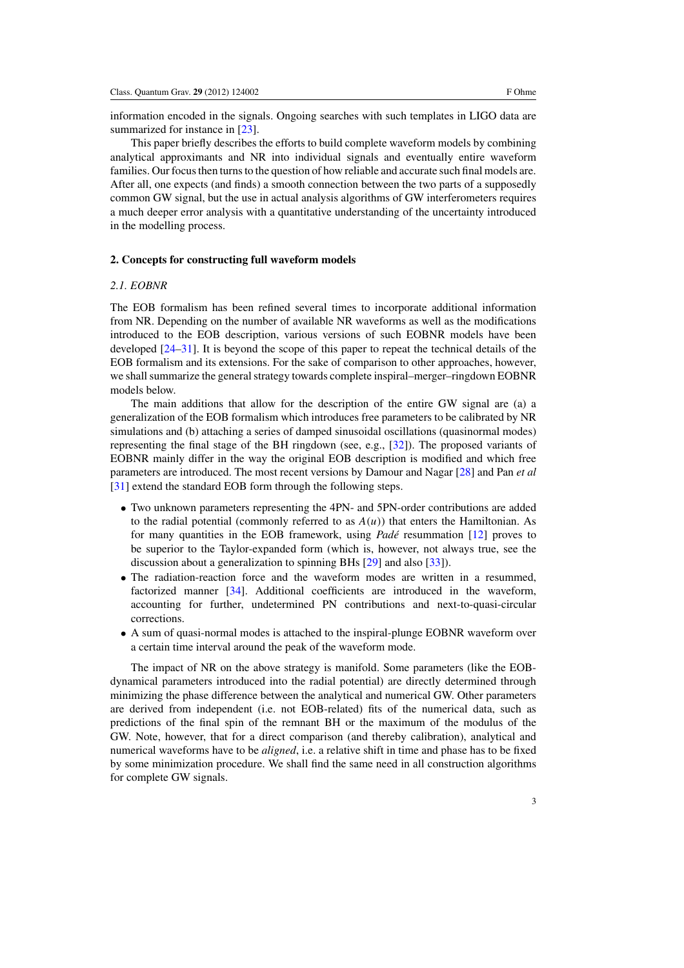<span id="page-3-0"></span>information encoded in the signals. Ongoing searches with such templates in LIGO data are summarized for instance in [\[23\]](#page-13-0).

This paper briefly describes the efforts to build complete waveform models by combining analytical approximants and NR into individual signals and eventually entire waveform families. Our focus then turns to the question of how reliable and accurate such final models are. After all, one expects (and finds) a smooth connection between the two parts of a supposedly common GW signal, but the use in actual analysis algorithms of GW interferometers requires a much deeper error analysis with a quantitative understanding of the uncertainty introduced in the modelling process.

## **2. Concepts for constructing full waveform models**

## *2.1. EOBNR*

The EOB formalism has been refined several times to incorporate additional information from NR. Depending on the number of available NR waveforms as well as the modifications introduced to the EOB description, various versions of such EOBNR models have been developed [\[24–31\]](#page-13-0). It is beyond the scope of this paper to repeat the technical details of the EOB formalism and its extensions. For the sake of comparison to other approaches, however, we shall summarize the general strategy towards complete inspiral–merger–ringdown EOBNR models below.

The main additions that allow for the description of the entire GW signal are (a) a generalization of the EOB formalism which introduces free parameters to be calibrated by NR simulations and (b) attaching a series of damped sinusoidal oscillations (quasinormal modes) representing the final stage of the BH ringdown (see, e.g., [\[32\]](#page-13-0)). The proposed variants of EOBNR mainly differ in the way the original EOB description is modified and which free parameters are introduced. The most recent versions by Damour and Nagar [\[28\]](#page-13-0) and Pan *et al* [\[31](#page-13-0)] extend the standard EOB form through the following steps.

- Two unknown parameters representing the 4PN- and 5PN-order contributions are added to the radial potential (commonly referred to as  $A(u)$ ) that enters the Hamiltonian. As for many quantities in the EOB framework, using *Pade´* resummation [\[12\]](#page-13-0) proves to be superior to the Taylor-expanded form (which is, however, not always true, see the discussion about a generalization to spinning BHs [\[29\]](#page-13-0) and also [\[33](#page-13-0)]).
- The radiation-reaction force and the waveform modes are written in a resummed, factorized manner [\[34\]](#page-13-0). Additional coefficients are introduced in the waveform, accounting for further, undetermined PN contributions and next-to-quasi-circular corrections.
- A sum of quasi-normal modes is attached to the inspiral-plunge EOBNR waveform over a certain time interval around the peak of the waveform mode.

The impact of NR on the above strategy is manifold. Some parameters (like the EOBdynamical parameters introduced into the radial potential) are directly determined through minimizing the phase difference between the analytical and numerical GW. Other parameters are derived from independent (i.e. not EOB-related) fits of the numerical data, such as predictions of the final spin of the remnant BH or the maximum of the modulus of the GW. Note, however, that for a direct comparison (and thereby calibration), analytical and numerical waveforms have to be *aligned*, i.e. a relative shift in time and phase has to be fixed by some minimization procedure. We shall find the same need in all construction algorithms for complete GW signals.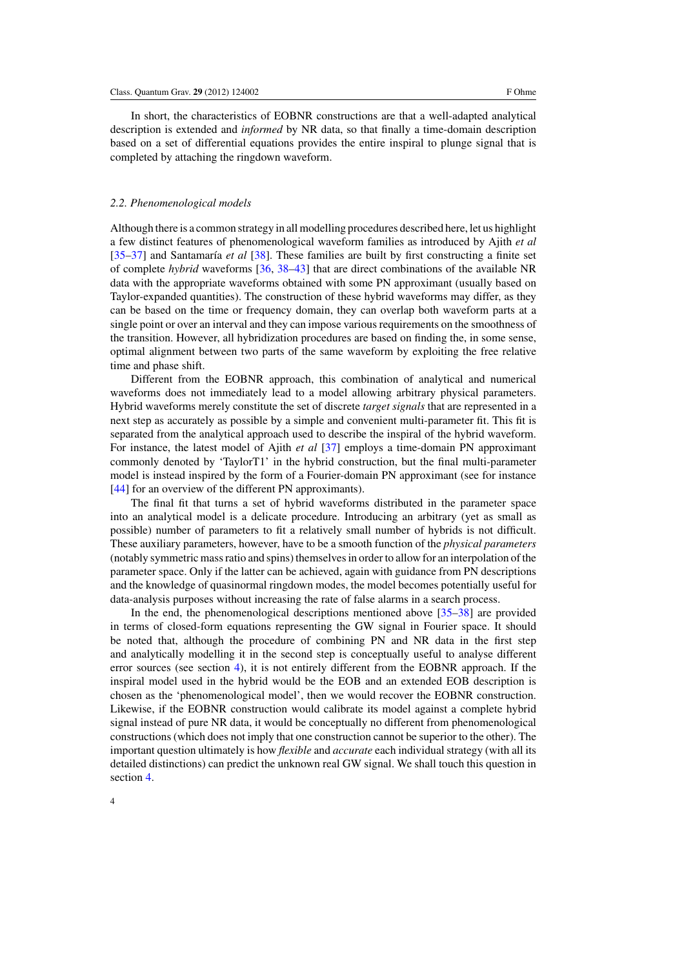In short, the characteristics of EOBNR constructions are that a well-adapted analytical description is extended and *informed* by NR data, so that finally a time-domain description based on a set of differential equations provides the entire inspiral to plunge signal that is completed by attaching the ringdown waveform.

## *2.2. Phenomenological models*

Although there is a common strategy in all modelling procedures described here, let us highlight a few distinct features of phenomenological waveform families as introduced by Ajith *et al* [\[35–37](#page-13-0)] and Santamaría *et al* [\[38](#page-13-0)]. These families are built by first constructing a finite set of complete *hybrid* waveforms [\[36,](#page-13-0) [38–43](#page-13-0)] that are direct combinations of the available NR data with the appropriate waveforms obtained with some PN approximant (usually based on Taylor-expanded quantities). The construction of these hybrid waveforms may differ, as they can be based on the time or frequency domain, they can overlap both waveform parts at a single point or over an interval and they can impose various requirements on the smoothness of the transition. However, all hybridization procedures are based on finding the, in some sense, optimal alignment between two parts of the same waveform by exploiting the free relative time and phase shift.

Different from the EOBNR approach, this combination of analytical and numerical waveforms does not immediately lead to a model allowing arbitrary physical parameters. Hybrid waveforms merely constitute the set of discrete *target signals* that are represented in a next step as accurately as possible by a simple and convenient multi-parameter fit. This fit is separated from the analytical approach used to describe the inspiral of the hybrid waveform. For instance, the latest model of Ajith *et al* [\[37\]](#page-13-0) employs a time-domain PN approximant commonly denoted by 'TaylorT1' in the hybrid construction, but the final multi-parameter model is instead inspired by the form of a Fourier-domain PN approximant (see for instance [\[44](#page-13-0)] for an overview of the different PN approximants).

The final fit that turns a set of hybrid waveforms distributed in the parameter space into an analytical model is a delicate procedure. Introducing an arbitrary (yet as small as possible) number of parameters to fit a relatively small number of hybrids is not difficult. These auxiliary parameters, however, have to be a smooth function of the *physical parameters* (notably symmetric mass ratio and spins) themselves in order to allow for an interpolation of the parameter space. Only if the latter can be achieved, again with guidance from PN descriptions and the knowledge of quasinormal ringdown modes, the model becomes potentially useful for data-analysis purposes without increasing the rate of false alarms in a search process.

In the end, the phenomenological descriptions mentioned above [\[35–38](#page-13-0)] are provided in terms of closed-form equations representing the GW signal in Fourier space. It should be noted that, although the procedure of combining PN and NR data in the first step and analytically modelling it in the second step is conceptually useful to analyse different error sources (see section [4\)](#page-6-0), it is not entirely different from the EOBNR approach. If the inspiral model used in the hybrid would be the EOB and an extended EOB description is chosen as the 'phenomenological model', then we would recover the EOBNR construction. Likewise, if the EOBNR construction would calibrate its model against a complete hybrid signal instead of pure NR data, it would be conceptually no different from phenomenological constructions (which does not imply that one construction cannot be superior to the other). The important question ultimately is how *flexible* and *accurate* each individual strategy (with all its detailed distinctions) can predict the unknown real GW signal. We shall touch this question in section [4.](#page-6-0)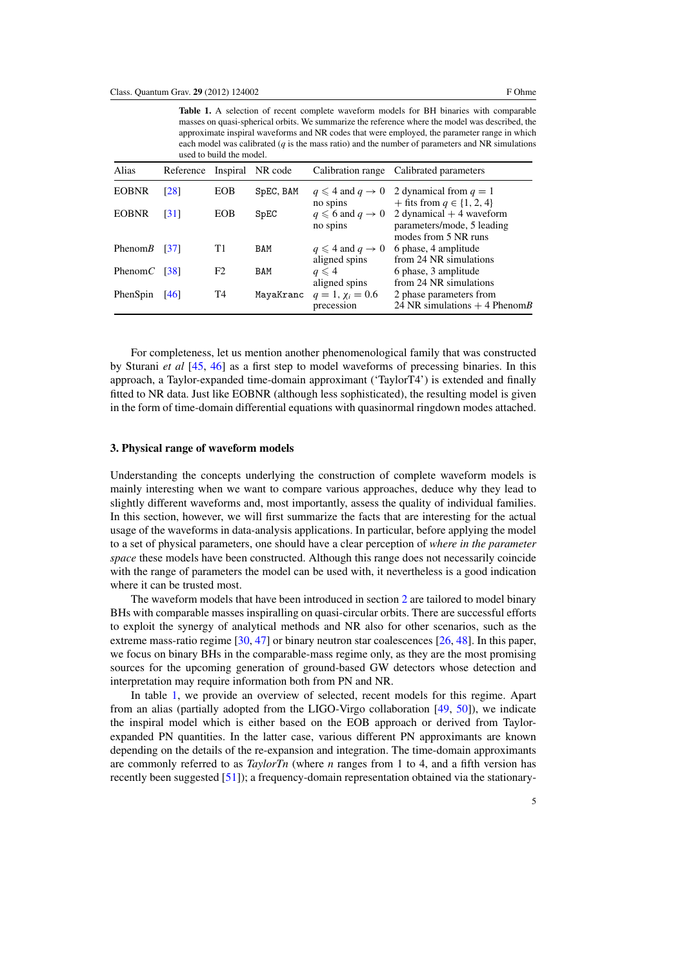**Table 1.** A selection of recent complete waveform models for BH binaries with comparable masses on quasi-spherical orbits. We summarize the reference where the model was described, the approximate inspiral waveforms and NR codes that were employed, the parameter range in which each model was calibrated (*q* is the mass ratio) and the number of parameters and NR simulations used to build the model.

<span id="page-5-0"></span>

| Alias        | Reference Inspiral NR code |                |           |                                           | Calibration range Calibrated parameters                                         |
|--------------|----------------------------|----------------|-----------|-------------------------------------------|---------------------------------------------------------------------------------|
| <b>EOBNR</b> | $\lceil 28 \rceil$         | EOB            | SpEC, BAM | $q \leq 4$ and $q \to 0$<br>no spins      | 2 dynamical from $q = 1$<br>+ fits from $q \in \{1, 2, 4\}$                     |
| <b>EOBNR</b> | [31]                       | <b>EOB</b>     | SpEC      | $q \leq 6$ and $q \to 0$<br>no spins      | 2 dynamical $+4$ waveform<br>parameters/mode, 5 leading<br>modes from 5 NR runs |
| Phenom $B$   | $\left[37\right]$          | T1             | BAM       | $q \leq 4$ and $q \to 0$<br>aligned spins | 6 phase, 4 amplitude<br>from 24 NR simulations                                  |
| Phenom $C$   | [38]                       | F <sub>2</sub> | BAM       | $q \leqslant 4$<br>aligned spins          | 6 phase, 3 amplitude<br>from 24 NR simulations                                  |
| PhenSpin     | <u>1461</u>                | T4             | MayaKranc | $q=1$ , $\chi_i=0.6$<br>precession        | 2 phase parameters from<br>24 NR simulations $+4$ PhenomB                       |

For completeness, let us mention another phenomenological family that was constructed by Sturani *et al* [\[45](#page-13-0), [46](#page-13-0)] as a first step to model waveforms of precessing binaries. In this approach, a Taylor-expanded time-domain approximant ('TaylorT4') is extended and finally fitted to NR data. Just like EOBNR (although less sophisticated), the resulting model is given in the form of time-domain differential equations with quasinormal ringdown modes attached.

## **3. Physical range of waveform models**

Understanding the concepts underlying the construction of complete waveform models is mainly interesting when we want to compare various approaches, deduce why they lead to slightly different waveforms and, most importantly, assess the quality of individual families. In this section, however, we will first summarize the facts that are interesting for the actual usage of the waveforms in data-analysis applications. In particular, before applying the model to a set of physical parameters, one should have a clear perception of *where in the parameter space* these models have been constructed. Although this range does not necessarily coincide with the range of parameters the model can be used with, it nevertheless is a good indication where it can be trusted most.

The waveform models that have been introduced in section [2](#page-3-0) are tailored to model binary BHs with comparable masses inspiralling on quasi-circular orbits. There are successful efforts to exploit the synergy of analytical methods and NR also for other scenarios, such as the extreme mass-ratio regime [\[30](#page-13-0), [47\]](#page-13-0) or binary neutron star coalescences [\[26](#page-13-0), [48\]](#page-13-0). In this paper, we focus on binary BHs in the comparable-mass regime only, as they are the most promising sources for the upcoming generation of ground-based GW detectors whose detection and interpretation may require information both from PN and NR.

In table 1, we provide an overview of selected, recent models for this regime. Apart from an alias (partially adopted from the LIGO-Virgo collaboration [\[49,](#page-13-0) [50\]](#page-13-0)), we indicate the inspiral model which is either based on the EOB approach or derived from Taylorexpanded PN quantities. In the latter case, various different PN approximants are known depending on the details of the re-expansion and integration. The time-domain approximants are commonly referred to as *TaylorTn* (where *n* ranges from 1 to 4, and a fifth version has recently been suggested [\[51](#page-13-0)]); a frequency-domain representation obtained via the stationary-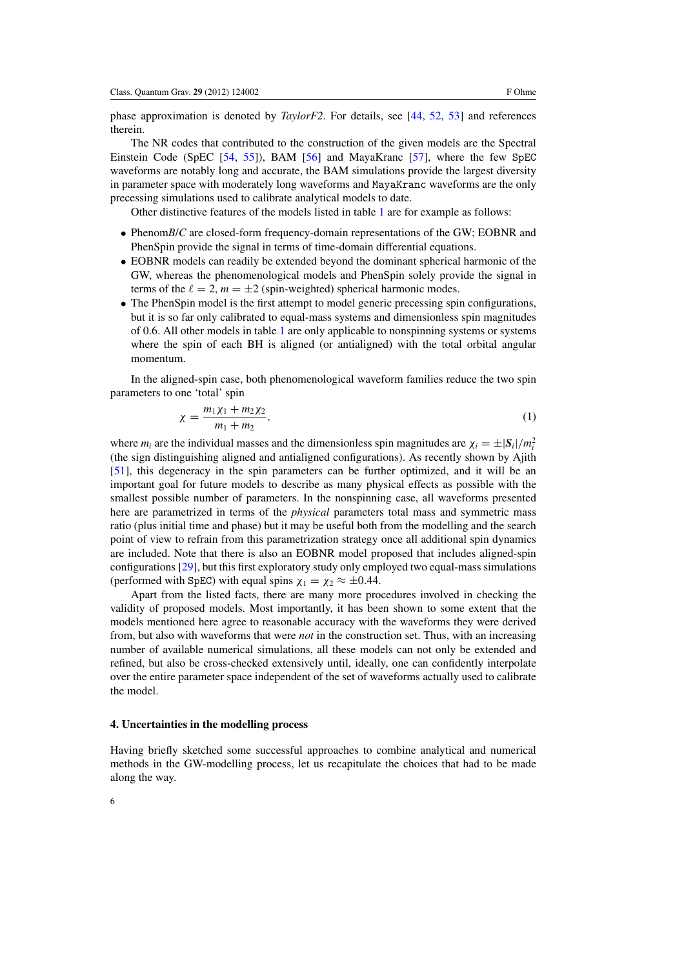<span id="page-6-0"></span>The NR codes that contributed to the construction of the given models are the Spectral Einstein Code (SpEC [\[54](#page-13-0), [55\]](#page-13-0)), BAM [\[56](#page-13-0)] and MayaKranc [\[57\]](#page-13-0), where the few SpEC waveforms are notably long and accurate, the BAM simulations provide the largest diversity in parameter space with moderately long waveforms and MayaKranc waveforms are the only precessing simulations used to calibrate analytical models to date.

Other distinctive features of the models listed in table [1](#page-5-0) are for example as follows:

- Phenom*B*/*C* are closed-form frequency-domain representations of the GW; EOBNR and PhenSpin provide the signal in terms of time-domain differential equations.
- EOBNR models can readily be extended beyond the dominant spherical harmonic of the GW, whereas the phenomenological models and PhenSpin solely provide the signal in terms of the  $\ell = 2$ ,  $m = \pm 2$  (spin-weighted) spherical harmonic modes.
- The PhenSpin model is the first attempt to model generic precessing spin configurations, but it is so far only calibrated to equal-mass systems and dimensionless spin magnitudes of 0.6. All other models in table [1](#page-5-0) are only applicable to nonspinning systems or systems where the spin of each BH is aligned (or antialigned) with the total orbital angular momentum.

In the aligned-spin case, both phenomenological waveform families reduce the two spin parameters to one 'total' spin

$$
\chi = \frac{m_1 \chi_1 + m_2 \chi_2}{m_1 + m_2},\tag{1}
$$

where  $m_i$  are the individual masses and the dimensionless spin magnitudes are  $\chi_i = \pm |S_i|/m_i^2$ (the sign distinguishing aligned and antialigned configurations). As recently shown by Ajith [\[51](#page-13-0)], this degeneracy in the spin parameters can be further optimized, and it will be an important goal for future models to describe as many physical effects as possible with the smallest possible number of parameters. In the nonspinning case, all waveforms presented here are parametrized in terms of the *physical* parameters total mass and symmetric mass ratio (plus initial time and phase) but it may be useful both from the modelling and the search point of view to refrain from this parametrization strategy once all additional spin dynamics are included. Note that there is also an EOBNR model proposed that includes aligned-spin configurations [\[29](#page-13-0)], but this first exploratory study only employed two equal-mass simulations (performed with SpEC) with equal spins  $\chi_1 = \chi_2 \approx \pm 0.44$ .

Apart from the listed facts, there are many more procedures involved in checking the validity of proposed models. Most importantly, it has been shown to some extent that the models mentioned here agree to reasonable accuracy with the waveforms they were derived from, but also with waveforms that were *not* in the construction set. Thus, with an increasing number of available numerical simulations, all these models can not only be extended and refined, but also be cross-checked extensively until, ideally, one can confidently interpolate over the entire parameter space independent of the set of waveforms actually used to calibrate the model.

## **4. Uncertainties in the modelling process**

Having briefly sketched some successful approaches to combine analytical and numerical methods in the GW-modelling process, let us recapitulate the choices that had to be made along the way.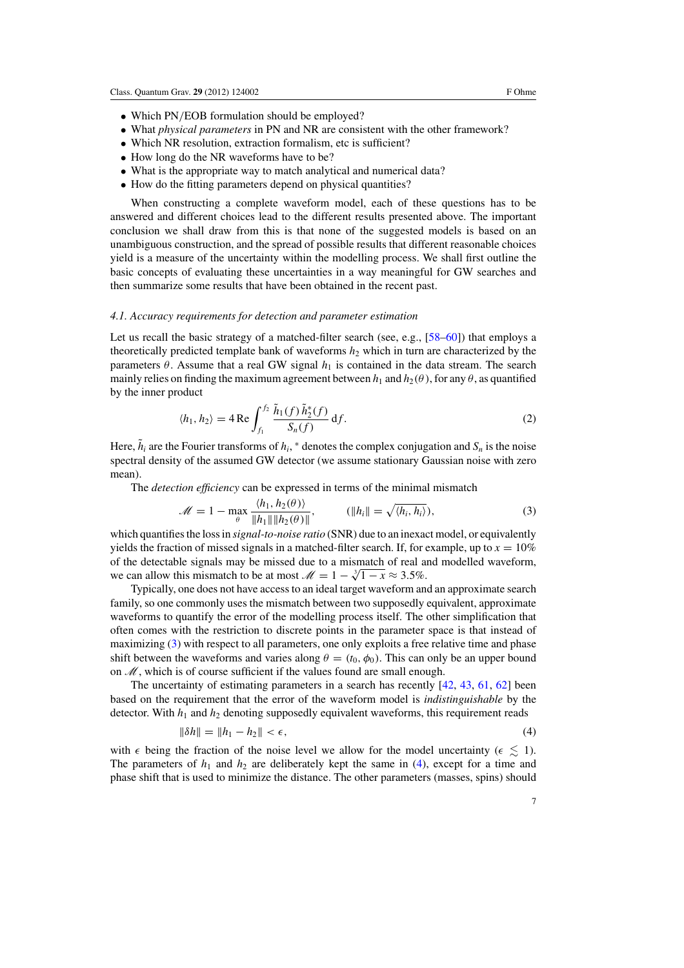- <span id="page-7-0"></span>• Which PN/EOB formulation should be employed?
- What *physical parameters* in PN and NR are consistent with the other framework?
- Which NR resolution, extraction formalism, etc is sufficient?
- How long do the NR waveforms have to be?
- What is the appropriate way to match analytical and numerical data?
- How do the fitting parameters depend on physical quantities?

When constructing a complete waveform model, each of these questions has to be answered and different choices lead to the different results presented above. The important conclusion we shall draw from this is that none of the suggested models is based on an unambiguous construction, and the spread of possible results that different reasonable choices yield is a measure of the uncertainty within the modelling process. We shall first outline the basic concepts of evaluating these uncertainties in a way meaningful for GW searches and then summarize some results that have been obtained in the recent past.

#### *4.1. Accuracy requirements for detection and parameter estimation*

Let us recall the basic strategy of a matched-filter search (see, e.g., [\[58–60\]](#page-13-0)) that employs a theoretically predicted template bank of waveforms  $h_2$  which in turn are characterized by the parameters  $\theta$ . Assume that a real GW signal  $h_1$  is contained in the data stream. The search mainly relies on finding the maximum agreement between  $h_1$  and  $h_2(\theta)$ , for any  $\theta$ , as quantified by the inner product

$$
\langle h_1, h_2 \rangle = 4 \operatorname{Re} \int_{f_1}^{f_2} \frac{\tilde{h}_1(f) \, \tilde{h}_2^*(f)}{S_n(f)} \, df. \tag{2}
$$

Here,  $\bar{h}_i$  are the Fourier transforms of  $h_i$ ,  $*$  denotes the complex conjugation and  $S_n$  is the noise spectral density of the assumed GW detector (we assume stationary Gaussian noise with zero mean).

The *detection efficiency* can be expressed in terms of the minimal mismatch

$$
\mathcal{M} = 1 - \max_{\theta} \frac{\langle h_1, h_2(\theta) \rangle}{\|h_1\| \|h_2(\theta)\|}, \qquad (\|h_i\| = \sqrt{\langle h_i, h_i \rangle}), \tag{3}
$$

which quantifies the loss in *signal-to-noise ratio* (SNR) due to an inexact model, or equivalently yields the fraction of missed signals in a matched-filter search. If, for example, up to  $x = 10\%$ of the detectable signals may be missed due to a mismatch of real and modelled waveform, we can allow this mismatch to be at most  $M = 1 - \sqrt[3]{1 - x} \approx 3.5\%$ .

Typically, one does not have access to an ideal target waveform and an approximate search family, so one commonly uses the mismatch between two supposedly equivalent, approximate waveforms to quantify the error of the modelling process itself. The other simplification that often comes with the restriction to discrete points in the parameter space is that instead of maximizing (3) with respect to all parameters, one only exploits a free relative time and phase shift between the waveforms and varies along  $\theta = (t_0, \phi_0)$ . This can only be an upper bound on  $M$ , which is of course sufficient if the values found are small enough.

The uncertainty of estimating parameters in a search has recently [\[42,](#page-13-0) [43](#page-13-0), [61,](#page-13-0) [62](#page-14-0)] been based on the requirement that the error of the waveform model is *indistinguishable* by the detector. With  $h_1$  and  $h_2$  denoting supposedly equivalent waveforms, this requirement reads

$$
\|\delta h\| = \|h_1 - h_2\| < \epsilon,\tag{4}
$$

with  $\epsilon$  being the fraction of the noise level we allow for the model uncertainty ( $\epsilon \lesssim 1$ ). The parameters of  $h_1$  and  $h_2$  are deliberately kept the same in (4), except for a time and phase shift that is used to minimize the distance. The other parameters (masses, spins) should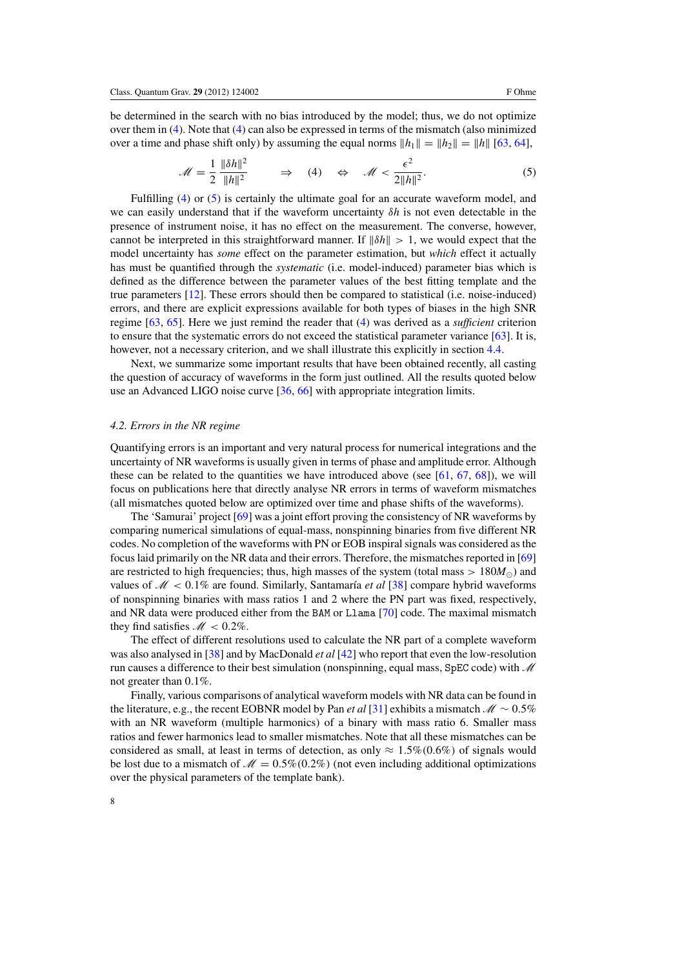<span id="page-8-0"></span>be determined in the search with no bias introduced by the model; thus, we do not optimize over them in [\(4\)](#page-7-0). Note that [\(4\)](#page-7-0) can also be expressed in terms of the mismatch (also minimized over a time and phase shift only) by assuming the equal norms  $||h_1|| = ||h_2|| = ||h||$  [\[63,](#page-14-0) [64](#page-14-0)],

$$
\mathcal{M} = \frac{1}{2} \frac{\|\delta h\|^2}{\|h\|^2} \qquad \Rightarrow \quad (4) \qquad \Leftrightarrow \qquad \mathcal{M} < \frac{\epsilon^2}{2\|h\|^2}.\tag{5}
$$

Fulfilling [\(4\)](#page-7-0) or (5) is certainly the ultimate goal for an accurate waveform model, and we can easily understand that if the waveform uncertainty δ*h* is not even detectable in the presence of instrument noise, it has no effect on the measurement. The converse, however, cannot be interpreted in this straightforward manner. If  $\|\delta h\| > 1$ , we would expect that the model uncertainty has *some* effect on the parameter estimation, but *which* effect it actually has must be quantified through the *systematic* (i.e. model-induced) parameter bias which is defined as the difference between the parameter values of the best fitting template and the true parameters [\[12\]](#page-13-0). These errors should then be compared to statistical (i.e. noise-induced) errors, and there are explicit expressions available for both types of biases in the high SNR regime [\[63,](#page-14-0) [65](#page-14-0)]. Here we just remind the reader that [\(4\)](#page-7-0) was derived as a *sufficient* criterion to ensure that the systematic errors do not exceed the statistical parameter variance [\[63\]](#page-14-0). It is, however, not a necessary criterion, and we shall illustrate this explicitly in section [4.4.](#page-9-0)

Next, we summarize some important results that have been obtained recently, all casting the question of accuracy of waveforms in the form just outlined. All the results quoted below use an Advanced LIGO noise curve [\[36,](#page-13-0) [66\]](#page-14-0) with appropriate integration limits.

## *4.2. Errors in the NR regime*

Quantifying errors is an important and very natural process for numerical integrations and the uncertainty of NR waveforms is usually given in terms of phase and amplitude error. Although these can be related to the quantities we have introduced above (see  $[61, 67, 68]$  $[61, 67, 68]$  $[61, 67, 68]$  $[61, 67, 68]$  $[61, 67, 68]$  $[61, 67, 68]$ ), we will focus on publications here that directly analyse NR errors in terms of waveform mismatches (all mismatches quoted below are optimized over time and phase shifts of the waveforms).

The 'Samurai' project [\[69](#page-14-0)] was a joint effort proving the consistency of NR waveforms by comparing numerical simulations of equal-mass, nonspinning binaries from five different NR codes. No completion of the waveforms with PN or EOB inspiral signals was considered as the focus laid primarily on the NR data and their errors. Therefore, the mismatches reported in [\[69](#page-14-0)] are restricted to high frequencies; thus, high masses of the system (total mass  $> 180M_{\odot}$ ) and values of  $\mathcal{M} < 0.1\%$  are found. Similarly, Santamaría *et al* [\[38](#page-13-0)] compare hybrid waveforms of nonspinning binaries with mass ratios 1 and 2 where the PN part was fixed, respectively, and NR data were produced either from the BAM or Llama [\[70\]](#page-14-0) code. The maximal mismatch they find satisfies  $\mathcal{M} < 0.2\%$ .

The effect of different resolutions used to calculate the NR part of a complete waveform was also analysed in [\[38](#page-13-0)] and by MacDonald *et al* [\[42\]](#page-13-0) who report that even the low-resolution run causes a difference to their best simulation (nonspinning, equal mass, SpEC code) with  $\mathcal M$ not greater than 0.1%.

Finally, various comparisons of analytical waveform models with NR data can be found in the literature, e.g., the recent EOBNR model by Pan *et al* [\[31\]](#page-13-0) exhibits a mismatch  $\mathcal{M} \sim 0.5\%$ with an NR waveform (multiple harmonics) of a binary with mass ratio 6. Smaller mass ratios and fewer harmonics lead to smaller mismatches. Note that all these mismatches can be considered as small, at least in terms of detection, as only  $\approx 1.5\%(0.6\%)$  of signals would be lost due to a mismatch of  $\mathcal{M} = 0.5\% (0.2\%)$  (not even including additional optimizations over the physical parameters of the template bank).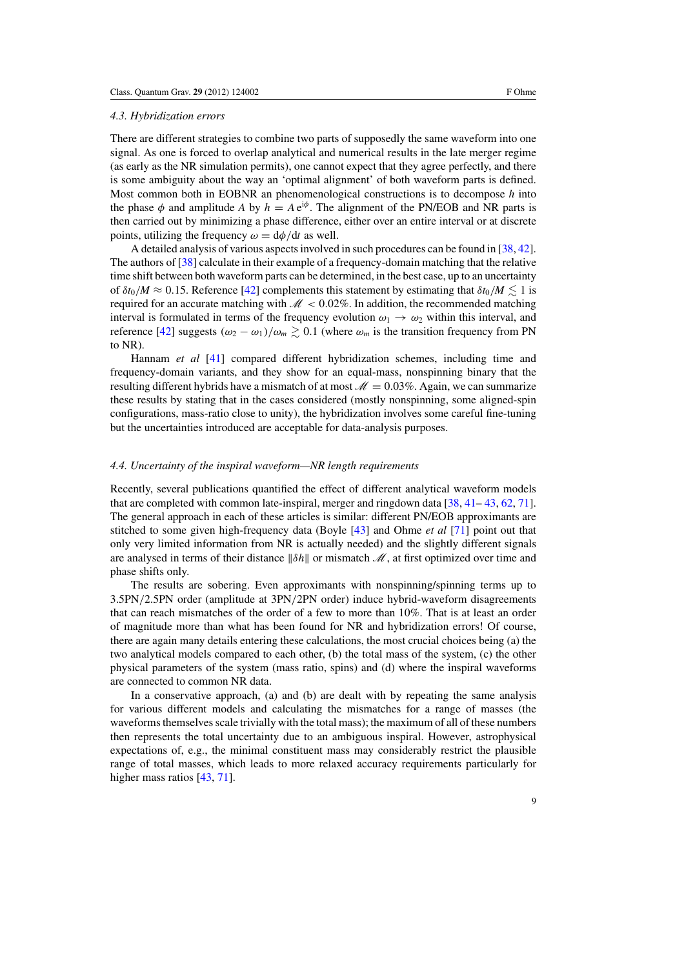## <span id="page-9-0"></span>*4.3. Hybridization errors*

There are different strategies to combine two parts of supposedly the same waveform into one signal. As one is forced to overlap analytical and numerical results in the late merger regime (as early as the NR simulation permits), one cannot expect that they agree perfectly, and there is some ambiguity about the way an 'optimal alignment' of both waveform parts is defined. Most common both in EOBNR an phenomenological constructions is to decompose *h* into the phase  $\phi$  and amplitude *A* by  $h = Ae^{i\phi}$ . The alignment of the PN/EOB and NR parts is then carried out by minimizing a phase difference, either over an entire interval or at discrete points, utilizing the frequency  $\omega = d\phi/dt$  as well.

A detailed analysis of various aspects involved in such procedures can be found in [\[38,](#page-13-0) [42\]](#page-13-0). The authors of [\[38](#page-13-0)] calculate in their example of a frequency-domain matching that the relative time shift between both waveform parts can be determined, in the best case, up to an uncertainty of  $\delta t_0/M \approx 0.15$ . Reference [\[42\]](#page-13-0) complements this statement by estimating that  $\delta t_0/M \lesssim 1$  is required for an accurate matching with  $\mathcal{M} < 0.02\%$ . In addition, the recommended matching interval is formulated in terms of the frequency evolution  $\omega_1 \rightarrow \omega_2$  within this interval, and reference [\[42](#page-13-0)] suggests  $(\omega_2 - \omega_1)/\omega_m \gtrsim 0.1$  (where  $\omega_m$  is the transition frequency from PN to NR).

Hannam *et al* [\[41](#page-13-0)] compared different hybridization schemes, including time and frequency-domain variants, and they show for an equal-mass, nonspinning binary that the resulting different hybrids have a mismatch of at most  $\mathcal{M} = 0.03\%$ . Again, we can summarize these results by stating that in the cases considered (mostly nonspinning, some aligned-spin configurations, mass-ratio close to unity), the hybridization involves some careful fine-tuning but the uncertainties introduced are acceptable for data-analysis purposes.

#### *4.4. Uncertainty of the inspiral waveform—NR length requirements*

Recently, several publications quantified the effect of different analytical waveform models that are completed with common late-inspiral, merger and ringdown data [\[38,](#page-13-0) [41](#page-13-0)– [43](#page-13-0), [62](#page-14-0), [71\]](#page-14-0). The general approach in each of these articles is similar: different PN/EOB approximants are stitched to some given high-frequency data (Boyle [\[43](#page-13-0)] and Ohme *et al* [\[71](#page-14-0)] point out that only very limited information from NR is actually needed) and the slightly different signals are analysed in terms of their distance  $\|\delta h\|$  or mismatch  $\mathcal{M}$ , at first optimized over time and phase shifts only.

The results are sobering. Even approximants with nonspinning/spinning terms up to 3.5PN*/*2.5PN order (amplitude at 3PN*/*2PN order) induce hybrid-waveform disagreements that can reach mismatches of the order of a few to more than 10%. That is at least an order of magnitude more than what has been found for NR and hybridization errors! Of course, there are again many details entering these calculations, the most crucial choices being (a) the two analytical models compared to each other, (b) the total mass of the system, (c) the other physical parameters of the system (mass ratio, spins) and (d) where the inspiral waveforms are connected to common NR data.

In a conservative approach, (a) and (b) are dealt with by repeating the same analysis for various different models and calculating the mismatches for a range of masses (the waveforms themselves scale trivially with the total mass); the maximum of all of these numbers then represents the total uncertainty due to an ambiguous inspiral. However, astrophysical expectations of, e.g., the minimal constituent mass may considerably restrict the plausible range of total masses, which leads to more relaxed accuracy requirements particularly for higher mass ratios [\[43](#page-13-0), [71](#page-14-0)].

9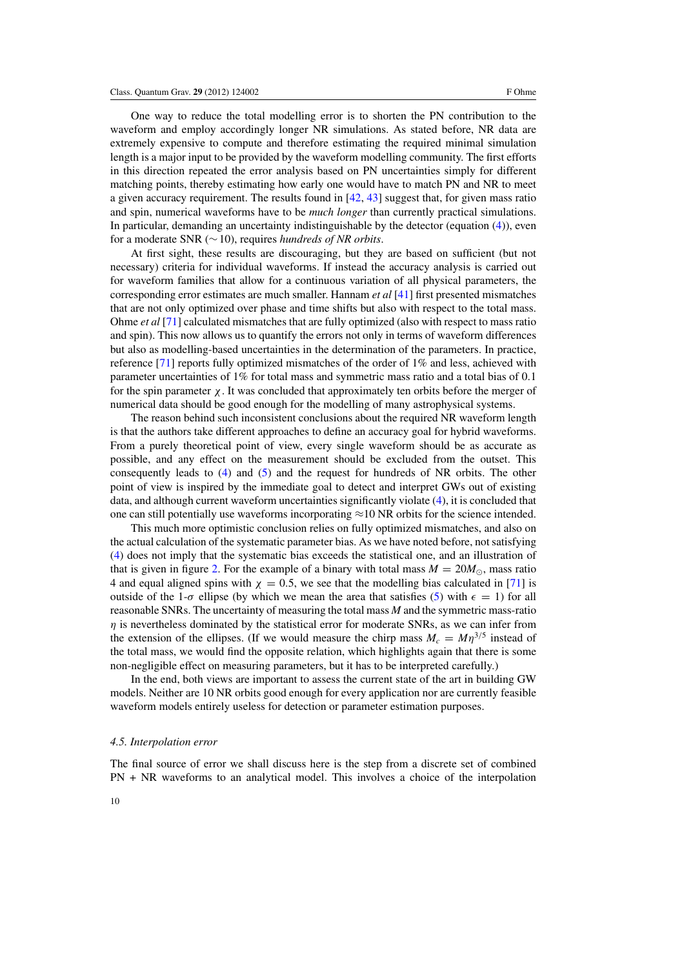One way to reduce the total modelling error is to shorten the PN contribution to the waveform and employ accordingly longer NR simulations. As stated before, NR data are extremely expensive to compute and therefore estimating the required minimal simulation length is a major input to be provided by the waveform modelling community. The first efforts in this direction repeated the error analysis based on PN uncertainties simply for different matching points, thereby estimating how early one would have to match PN and NR to meet a given accuracy requirement. The results found in  $[42, 43]$  $[42, 43]$  $[42, 43]$  $[42, 43]$  suggest that, for given mass ratio and spin, numerical waveforms have to be *much longer* than currently practical simulations. In particular, demanding an uncertainty indistinguishable by the detector (equation [\(4\)](#page-7-0)), even for a moderate SNR (∼10), requires *hundreds of NR orbits*.

At first sight, these results are discouraging, but they are based on sufficient (but not necessary) criteria for individual waveforms. If instead the accuracy analysis is carried out for waveform families that allow for a continuous variation of all physical parameters, the corresponding error estimates are much smaller. Hannam *et al* [\[41](#page-13-0)] first presented mismatches that are not only optimized over phase and time shifts but also with respect to the total mass. Ohme *et al* [\[71\]](#page-14-0) calculated mismatches that are fully optimized (also with respect to mass ratio and spin). This now allows us to quantify the errors not only in terms of waveform differences but also as modelling-based uncertainties in the determination of the parameters. In practice, reference [\[71\]](#page-14-0) reports fully optimized mismatches of the order of 1% and less, achieved with parameter uncertainties of 1% for total mass and symmetric mass ratio and a total bias of 0.1 for the spin parameter  $\chi$ . It was concluded that approximately ten orbits before the merger of numerical data should be good enough for the modelling of many astrophysical systems.

The reason behind such inconsistent conclusions about the required NR waveform length is that the authors take different approaches to define an accuracy goal for hybrid waveforms. From a purely theoretical point of view, every single waveform should be as accurate as possible, and any effect on the measurement should be excluded from the outset. This consequently leads to [\(4\)](#page-7-0) and [\(5\)](#page-8-0) and the request for hundreds of NR orbits. The other point of view is inspired by the immediate goal to detect and interpret GWs out of existing data, and although current waveform uncertainties significantly violate [\(4\)](#page-7-0), it is concluded that one can still potentially use waveforms incorporating  $\approx$ 10 NR orbits for the science intended.

This much more optimistic conclusion relies on fully optimized mismatches, and also on the actual calculation of the systematic parameter bias. As we have noted before, not satisfying [\(4\)](#page-7-0) does not imply that the systematic bias exceeds the statistical one, and an illustration of that is given in figure [2.](#page-11-0) For the example of a binary with total mass  $M = 20M_{\odot}$ , mass ratio 4 and equal aligned spins with  $\chi = 0.5$ , we see that the modelling bias calculated in [\[71\]](#page-14-0) is outside of the 1- $\sigma$  ellipse (by which we mean the area that satisfies [\(5\)](#page-8-0) with  $\epsilon = 1$ ) for all reasonable SNRs. The uncertainty of measuring the total mass *M* and the symmetric mass-ratio  $\eta$  is nevertheless dominated by the statistical error for moderate SNRs, as we can infer from the extension of the ellipses. (If we would measure the chirp mass  $M_c = M \eta^{3/5}$  instead of the total mass, we would find the opposite relation, which highlights again that there is some non-negligible effect on measuring parameters, but it has to be interpreted carefully.)

In the end, both views are important to assess the current state of the art in building GW models. Neither are 10 NR orbits good enough for every application nor are currently feasible waveform models entirely useless for detection or parameter estimation purposes.

#### *4.5. Interpolation error*

The final source of error we shall discuss here is the step from a discrete set of combined PN + NR waveforms to an analytical model. This involves a choice of the interpolation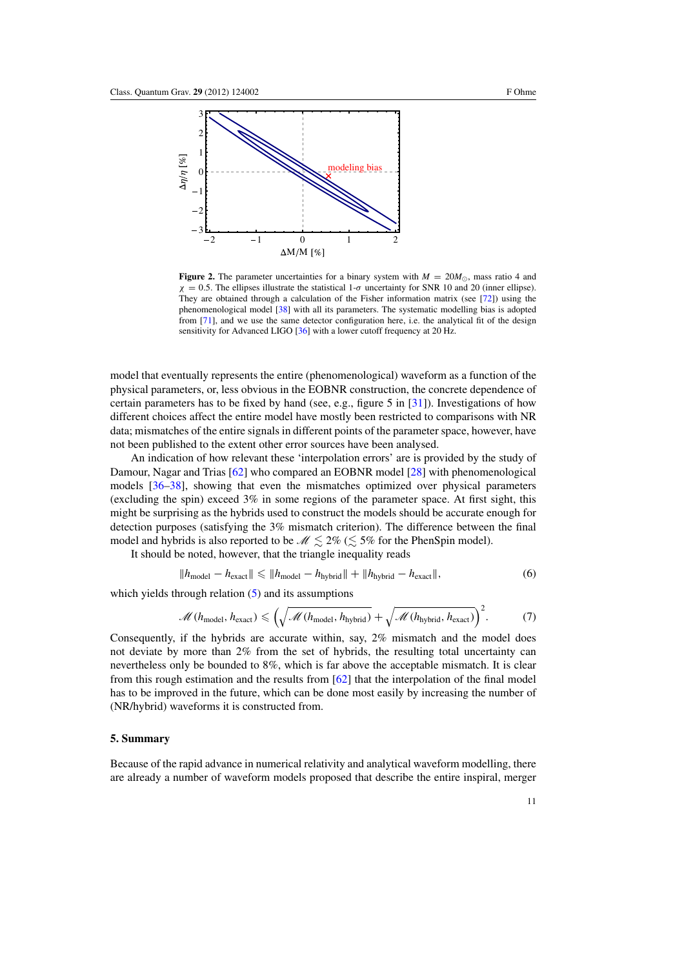<span id="page-11-0"></span>

**Figure 2.** The parameter uncertainties for a binary system with  $M = 20M_{\odot}$ , mass ratio 4 and  $\chi = 0.5$ . The ellipses illustrate the statistical 1- $\sigma$  uncertainty for SNR 10 and 20 (inner ellipse). They are obtained through a calculation of the Fisher information matrix (see [\[72](#page-14-0)]) using the phenomenological model [\[38](#page-13-0)] with all its parameters. The systematic modelling bias is adopted from [\[71\]](#page-14-0), and we use the same detector configuration here, i.e. the analytical fit of the design sensitivity for Advanced LIGO [\[36](#page-13-0)] with a lower cutoff frequency at 20 Hz.

model that eventually represents the entire (phenomenological) waveform as a function of the physical parameters, or, less obvious in the EOBNR construction, the concrete dependence of certain parameters has to be fixed by hand (see, e.g., figure 5 in [\[31](#page-13-0)]). Investigations of how different choices affect the entire model have mostly been restricted to comparisons with NR data; mismatches of the entire signals in different points of the parameter space, however, have not been published to the extent other error sources have been analysed.

An indication of how relevant these 'interpolation errors' are is provided by the study of Damour, Nagar and Trias [\[62](#page-14-0)] who compared an EOBNR model [\[28](#page-13-0)] with phenomenological models [\[36–38\]](#page-13-0), showing that even the mismatches optimized over physical parameters (excluding the spin) exceed  $3\%$  in some regions of the parameter space. At first sight, this might be surprising as the hybrids used to construct the models should be accurate enough for detection purposes (satisfying the 3% mismatch criterion). The difference between the final model and hybrids is also reported to be  $\mathcal{M} \lesssim 2\%$  ( $\lesssim$  5% for the PhenSpin model).

It should be noted, however, that the triangle inequality reads

$$
||h_{\text{model}} - h_{\text{exact}}|| \le ||h_{\text{model}} - h_{\text{hybrid}}|| + ||h_{\text{hybrid}} - h_{\text{exact}}||,\tag{6}
$$

which yields through relation  $(5)$  and its assumptions

$$
\mathcal{M}(h_{\text{model}}, h_{\text{exact}}) \leqslant \left(\sqrt{\mathcal{M}(h_{\text{model}}, h_{\text{hybrid}})} + \sqrt{\mathcal{M}(h_{\text{hybrid}}, h_{\text{exact}})}\right)^2. \tag{7}
$$

Consequently, if the hybrids are accurate within, say, 2% mismatch and the model does not deviate by more than 2% from the set of hybrids, the resulting total uncertainty can nevertheless only be bounded to 8%, which is far above the acceptable mismatch. It is clear from this rough estimation and the results from [\[62](#page-14-0)] that the interpolation of the final model has to be improved in the future, which can be done most easily by increasing the number of (NR/hybrid) waveforms it is constructed from.

## **5. Summary**

Because of the rapid advance in numerical relativity and analytical waveform modelling, there are already a number of waveform models proposed that describe the entire inspiral, merger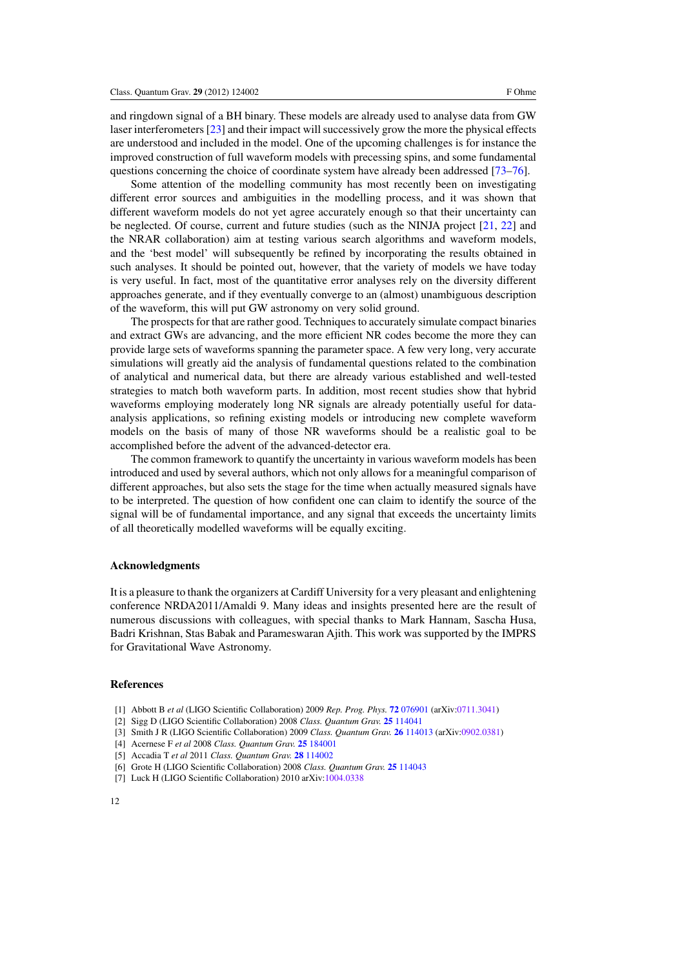<span id="page-12-0"></span>and ringdown signal of a BH binary. These models are already used to analyse data from GW laser interferometers [\[23\]](#page-13-0) and their impact will successively grow the more the physical effects are understood and included in the model. One of the upcoming challenges is for instance the improved construction of full waveform models with precessing spins, and some fundamental questions concerning the choice of coordinate system have already been addressed [\[73–76\]](#page-14-0).

Some attention of the modelling community has most recently been on investigating different error sources and ambiguities in the modelling process, and it was shown that different waveform models do not yet agree accurately enough so that their uncertainty can be neglected. Of course, current and future studies (such as the NINJA project [\[21](#page-13-0), [22\]](#page-13-0) and the NRAR collaboration) aim at testing various search algorithms and waveform models, and the 'best model' will subsequently be refined by incorporating the results obtained in such analyses. It should be pointed out, however, that the variety of models we have today is very useful. In fact, most of the quantitative error analyses rely on the diversity different approaches generate, and if they eventually converge to an (almost) unambiguous description of the waveform, this will put GW astronomy on very solid ground.

The prospects for that are rather good. Techniques to accurately simulate compact binaries and extract GWs are advancing, and the more efficient NR codes become the more they can provide large sets of waveforms spanning the parameter space. A few very long, very accurate simulations will greatly aid the analysis of fundamental questions related to the combination of analytical and numerical data, but there are already various established and well-tested strategies to match both waveform parts. In addition, most recent studies show that hybrid waveforms employing moderately long NR signals are already potentially useful for dataanalysis applications, so refining existing models or introducing new complete waveform models on the basis of many of those NR waveforms should be a realistic goal to be accomplished before the advent of the advanced-detector era.

The common framework to quantify the uncertainty in various waveform models has been introduced and used by several authors, which not only allows for a meaningful comparison of different approaches, but also sets the stage for the time when actually measured signals have to be interpreted. The question of how confident one can claim to identify the source of the signal will be of fundamental importance, and any signal that exceeds the uncertainty limits of all theoretically modelled waveforms will be equally exciting.

## **Acknowledgments**

It is a pleasure to thank the organizers at Cardiff University for a very pleasant and enlightening conference NRDA2011/Amaldi 9. Many ideas and insights presented here are the result of numerous discussions with colleagues, with special thanks to Mark Hannam, Sascha Husa, Badri Krishnan, Stas Babak and Parameswaran Ajith. This work was supported by the IMPRS for Gravitational Wave Astronomy.

# **References**

- [1] Abbott B *et al* (LIGO Scientific Collaboration) 2009 *Rep. Prog. Phys.* **72** [076901](http://dx.doi.org/10.1088/0034-4885/72/7/076901) (arXiv[:0711.3041\)](http://arxiv.org/abs/0711.3041)
- [2] Sigg D (LIGO Scientific Collaboration) 2008 *Class. Quantum Grav.* **25** [114041](http://dx.doi.org/10.1088/0264-9381/25/11/114041)
- [3] Smith J R (LIGO Scientific Collaboration) 2009 *Class. Quantum Grav.* **26** [114013](http://dx.doi.org/10.1088/0264-9381/26/11/114013) (arXiv[:0902.0381\)](http://arxiv.org/abs/0902.0381)
- [4] Acernese F *et al* 2008 *Class. Quantum Grav.* **25** [184001](http://dx.doi.org/10.1088/0264-9381/25/18/184001)
- [5] Accadia T *et al* 2011 *Class. Quantum Grav.* **28** [114002](http://dx.doi.org/10.1088/0264-9381/28/11/114002)
- [6] Grote H (LIGO Scientific Collaboration) 2008 *Class. Quantum Grav.* **25** [114043](http://dx.doi.org/10.1088/0264-9381/25/11/114043)
- [7] Luck H (LIGO Scientific Collaboration) 2010 arXiv[:1004.0338](http://arxiv.org/abs/1004.0338)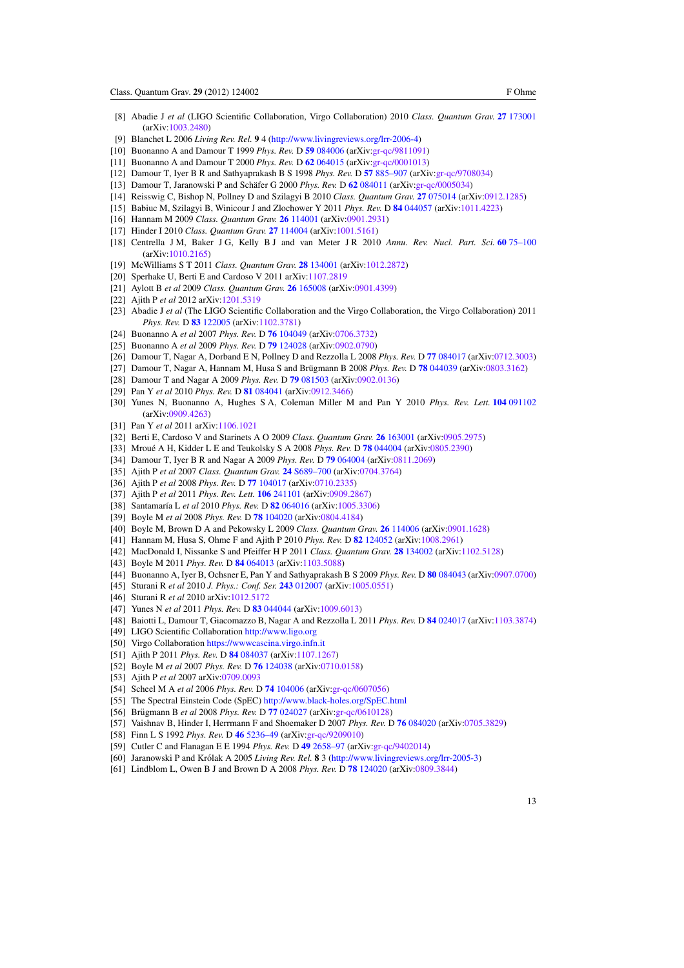- <span id="page-13-0"></span>[8] Abadie J *et al* (LIGO Scientific Collaboration, Virgo Collaboration) 2010 *Class. Quantum Grav.* **27** [173001](http://dx.doi.org/10.1088/0264-9381/27/17/173001) (arXiv[:1003.2480\)](http://arxiv.org/abs/1003.2480)
- [9] Blanchet L 2006 *Living Rev. Rel.* **9** 4 [\(http://www.livingreviews.org/lrr-2006-4\)](http://www.livingreviews.org/lrr-2006-4)
- [10] Buonanno A and Damour T 1999 *Phys. Rev.* D **59** [084006](http://dx.doi.org/10.1103/PhysRevD.59.084006) (arXiv[:gr-qc/9811091\)](http://arxiv.org/abs/gr-qc/9811091)
- [11] Buonanno A and Damour T 2000 *Phys. Rev.* D **62** [064015](http://dx.doi.org/10.1103/PhysRevD.62.064015) (arXiv[:gr-qc/0001013\)](http://arxiv.org/abs/gr-qc/0001013)
- [12] Damour T, Iyer B R and Sathyaprakash B S 1998 *Phys. Rev.* D **57** [885–907](http://dx.doi.org/10.1103/PhysRevD.57.885) (arXiv[:gr-qc/9708034\)](http://arxiv.org/abs/gr-qc/9708034)
- [13] Damour T, Jaranowski P and Schäfer G 2000 Phys. Rev. D 62 [084011](http://dx.doi.org/10.1103/PhysRevD.62.084011) (arXiv[:gr-qc/0005034\)](http://arxiv.org/abs/gr-qc/0005034)
- [14] Reisswig C, Bishop N, Pollney D and Szilagyi B 2010 *Class. Quantum Grav.* **27** [075014](http://dx.doi.org/10.1088/0264-9381/27/7/075014) (arXiv[:0912.1285\)](http://arxiv.org/abs/0912.1285)
- [15] Babiuc M, Szilagyi B, Winicour J and Zlochower Y 2011 *Phys. Rev.* D **84** [044057](http://dx.doi.org/10.1103/PhysRevD.84.044057) (arXiv[:1011.4223\)](http://arxiv.org/abs/1011.4223)
- [16] Hannam M 2009 *Class. Quantum Grav.* **26** [114001](http://dx.doi.org/10.1088/0264-9381/26/11/114001) (arXiv[:0901.2931\)](http://arxiv.org/abs/0901.2931)
- [17] Hinder I 2010 *Class. Quantum Grav.* **27** [114004](http://dx.doi.org/10.1088/0264-9381/27/11/114004) (arXiv[:1001.5161\)](http://arxiv.org/abs/1001.5161)
- [18] Centrella J M, Baker J G, Kelly B J and van Meter J R 2010 *Annu. Rev. Nucl. Part. Sci.* **60** [75–100](http://dx.doi.org/10.1146/annurev.nucl.010909.083246) (arXiv[:1010.2165\)](http://arxiv.org/abs/1010.2165)
- [19] McWilliams S T 2011 *Class. Quantum Grav.* **28** [134001](http://dx.doi.org/10.1088/0264-9381/28/13/134001) (arXiv[:1012.2872\)](http://arxiv.org/abs/1012.2872)
- [20] Sperhake U, Berti E and Cardoso V 2011 arXiv[:1107.2819](http://arxiv.org/abs/1107.2819)
- [21] Aylott B *et al* 2009 *Class. Quantum Grav.* **26** [165008](http://dx.doi.org/10.1088/0264-9381/26/16/165008) (arXiv[:0901.4399\)](http://arxiv.org/abs/0901.4399)
- [22] Ajith P *et al* 2012 arXiv[:1201.5319](http://arxiv.org/abs/1201.5319)
- [23] Abadie J *et al* (The LIGO Scientific Collaboration and the Virgo Collaboration, the Virgo Collaboration) 2011 *Phys. Rev.* D **83** [122005](http://dx.doi.org/10.1103/PhysRevD.83.122005) (arXiv[:1102.3781\)](http://arxiv.org/abs/1102.3781)
- [24] Buonanno A *et al* 2007 *Phys. Rev.* D **76** [104049](http://dx.doi.org/10.1103/PhysRevD.76.104049) (arXiv[:0706.3732\)](http://arxiv.org/abs/0706.3732)
- [25] Buonanno A *et al* 2009 *Phys. Rev.* D **79** [124028](http://dx.doi.org/10.1103/PhysRevD.79.124028) (arXiv[:0902.0790\)](http://arxiv.org/abs/0902.0790)
- [26] Damour T, Nagar A, Dorband E N, Pollney D and Rezzolla L 2008 *Phys. Rev.* D **77** [084017](http://dx.doi.org/10.1103/PhysRevD.77.084017) (arXiv[:0712.3003\)](http://arxiv.org/abs/0712.3003)
- [27] Damour T, Nagar A, Hannam M, Husa S and Brügmann B 2008 Phys. Rev. D 78 [044039](http://dx.doi.org/10.1103/PhysRevD.78.044039) (arXiv[:0803.3162\)](http://arxiv.org/abs/0803.3162)
- [28] Damour T and Nagar A 2009 *Phys. Rev.* D **79** [081503](http://dx.doi.org/10.1103/PhysRevD.79.081503) (arXiv[:0902.0136\)](http://arxiv.org/abs/0902.0136)
- [29] Pan Y *et al* 2010 *Phys. Rev.* D **81** [084041](http://dx.doi.org/10.1103/PhysRevD.81.084041) (arXiv[:0912.3466\)](http://arxiv.org/abs/0912.3466)
- [30] Yunes N, Buonanno A, Hughes S A, Coleman Miller M and Pan Y 2010 *Phys. Rev. Lett.* **104** [091102](http://dx.doi.org/10.1103/PhysRevLett.104.091102) (arXiv[:0909.4263\)](http://arxiv.org/abs/0909.4263)
- [31] Pan Y *et al* 2011 arXiv[:1106.1021](http://arxiv.org/abs/1106.1021)
- [32] Berti E, Cardoso V and Starinets A O 2009 *Class. Quantum Grav.* **26** [163001](http://dx.doi.org/10.1088/0264-9381/26/16/163001) (arXiv[:0905.2975\)](http://arxiv.org/abs/0905.2975)
- [33] Mroué A H, Kidder L E and Teukolsky S A 2008 *Phys. Rev.* D **78** [044004](http://dx.doi.org/10.1103/PhysRevD.78.044004) (arXiv[:0805.2390\)](http://arxiv.org/abs/0805.2390)
- [34] Damour T, Iyer B R and Nagar A 2009 *Phys. Rev.* D **79** [064004](http://dx.doi.org/10.1103/PhysRevD.79.064004) (arXiv[:0811.2069\)](http://arxiv.org/abs/0811.2069)
- [35] Ajith P *et al* 2007 *Class. Quantum Grav.* **24** [S689–700](http://dx.doi.org/10.1088/0264-9381/24/19/S31) (arXiv[:0704.3764\)](http://arxiv.org/abs/0704.3764)
- [36] Ajith P *et al* 2008 *Phys. Rev.* D **77** [104017](http://dx.doi.org/10.1103/PhysRevD.77.104017) (arXiv[:0710.2335\)](http://arxiv.org/abs/0710.2335)
- [37] Ajith P *et al* 2011 *Phys. Rev. Lett.* **106** [241101](http://dx.doi.org/10.1103/PhysRevLett.106.241101) (arXiv[:0909.2867\)](http://arxiv.org/abs/0909.2867)
- [38] Santamaría L *et al* 2010 *Phys. Rev.* D **82** [064016](http://dx.doi.org/10.1103/PhysRevD.82.064016) (arXiv[:1005.3306\)](http://arxiv.org/abs/1005.3306)
- [39] Boyle M *et al* 2008 *Phys. Rev.* D **78** [104020](http://dx.doi.org/10.1103/PhysRevD.78.104020) (arXiv[:0804.4184\)](http://arxiv.org/abs/0804.4184)
- [40] Boyle M, Brown D A and Pekowsky L 2009 *Class. Quantum Grav.* **26** [114006](http://dx.doi.org/10.1088/0264-9381/26/11/114006) (arXiv[:0901.1628\)](http://arxiv.org/abs/0901.1628)
- [41] Hannam M, Husa S, Ohme F and Ajith P 2010 *Phys. Rev.* D **82** [124052](http://dx.doi.org/10.1103/PhysRevD.82.124052) (arXiv[:1008.2961\)](http://arxiv.org/abs/1008.2961)
- [42] MacDonald I, Nissanke S and Pfeiffer H P 2011 *Class. Quantum Grav.* **28** [134002](http://dx.doi.org/10.1088/0264-9381/28/13/134002) (arXiv[:1102.5128\)](http://arxiv.org/abs/1102.5128)
- [43] Boyle M 2011 *Phys. Rev.* D **84** [064013](http://dx.doi.org/10.1103/PhysRevD.84.064013) (arXiv[:1103.5088\)](http://arxiv.org/abs/1103.5088)
- [44] Buonanno A, Iyer B, Ochsner E, Pan Y and Sathyaprakash B S 2009 *Phys. Rev.* D **80** [084043](http://dx.doi.org/10.1103/PhysRevD.80.084043) (arXiv[:0907.0700\)](http://arxiv.org/abs/0907.0700)
- [45] Sturani R *et al* 2010 *J. Phys.: Conf. Ser.* **243** [012007](http://dx.doi.org/10.1088/1742-6596/243/1/012007) (arXiv[:1005.0551\)](http://arxiv.org/abs/1005.0551)
- [46] Sturani R *et al* 2010 arXiv[:1012.5172](http://arxiv.org/abs/1012.5172)
- [47] Yunes N *et al* 2011 *Phys. Rev.* D **83** [044044](http://dx.doi.org/10.1103/PhysRevD.83.044044) (arXiv[:1009.6013\)](http://arxiv.org/abs/1009.6013)
- [48] Baiotti L, Damour T, Giacomazzo B, Nagar A and Rezzolla L 2011 *Phys. Rev.* D **84** [024017](http://dx.doi.org/10.1103/PhysRevD.84.024017) (arXiv[:1103.3874\)](http://arxiv.org/abs/1103.3874)
- [49] LIGO Scientific Collaboration <http://www.ligo.org>
- [50] Virgo Collaboration <https://wwwcascina.virgo.infn.it>
- [51] Ajith P 2011 *Phys. Rev.* D **84** [084037](http://dx.doi.org/10.1103/PhysRevD.84.084037) (arXiv[:1107.1267\)](http://arxiv.org/abs/1107.1267)
- [52] Boyle M *et al* 2007 *Phys. Rev.* D **76** [124038](http://dx.doi.org/10.1103/PhysRevD.76.124038) (arXiv[:0710.0158\)](http://arxiv.org/abs/0710.0158)
- [53] Ajith P *et al* 2007 arXiv[:0709.0093](http://arxiv.org/abs/0709.0093)
- [54] Scheel M A *et al* 2006 *Phys. Rev.* D **74** [104006](http://dx.doi.org/10.1103/PhysRevD.74.104006) (arXiv[:gr-qc/0607056\)](http://arxiv.org/abs/gr-qc/0607056)
- [55] The Spectral Einstein Code (SpEC) <http://www.black-holes.org/SpEC.html>
- [56] Brügmann B et al 2008 Phys. Rev. D 77 [024027](http://dx.doi.org/10.1103/PhysRevD.77.024027) (arXiv[:gr-qc/0610128\)](http://arxiv.org/abs/gr-qc/0610128)
- [57] Vaishnav B, Hinder I, Herrmann F and Shoemaker D 2007 *Phys. Rev.* D **76** [084020](http://dx.doi.org/10.1103/PhysRevD.76.084020) (arXiv[:0705.3829\)](http://arxiv.org/abs/0705.3829)
- [58] Finn L S 1992 *Phys. Rev.* D **46** [5236–49](http://dx.doi.org/10.1103/PhysRevD.46.5236) (arXiv[:gr-qc/9209010\)](http://arxiv.org/abs/gr-qc/9209010)
- [59] Cutler C and Flanagan E E 1994 *Phys. Rev.* D **49** [2658–97](http://dx.doi.org/10.1103/PhysRevD.49.2658) (arXiv[:gr-qc/9402014\)](http://arxiv.org/abs/gr-qc/9402014)
- [60] Jaranowski P and Królak A 2005 Living Rev. Rel. 8 3 [\(http://www.livingreviews.org/lrr-2005-3\)](http://www.livingreviews.org/lrr-2005-3)
- [61] Lindblom L, Owen B J and Brown D A 2008 *Phys. Rev.* D **78** [124020](http://dx.doi.org/10.1103/PhysRevD.78.124020) (arXiv[:0809.3844\)](http://arxiv.org/abs/0809.3844)